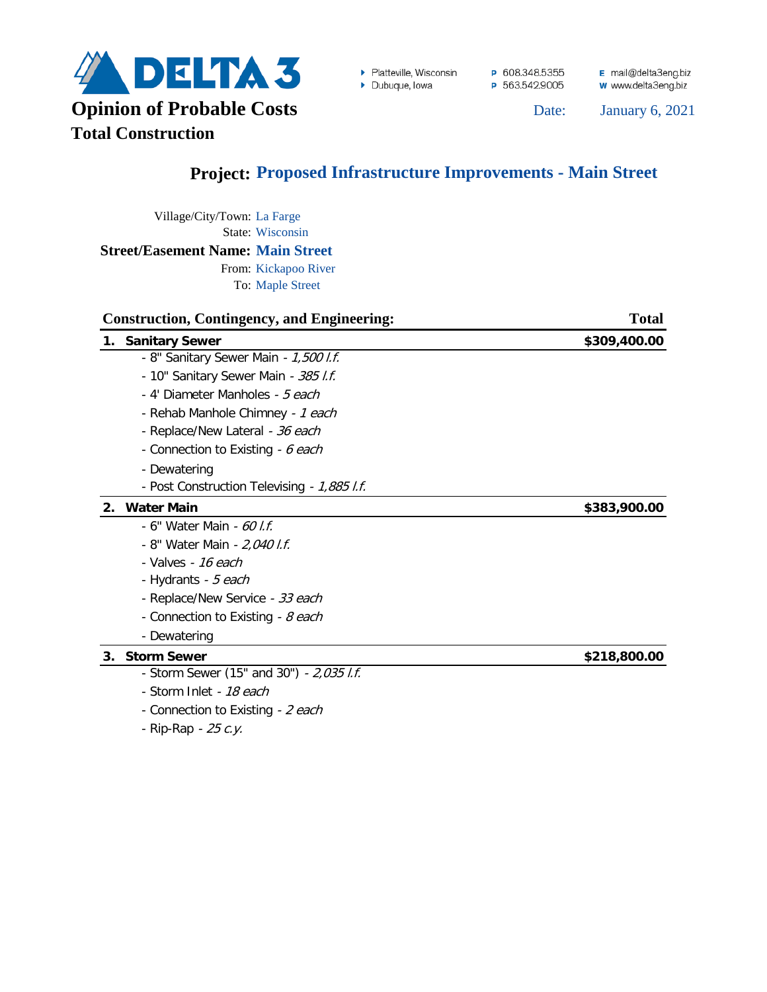

▶ Platteville, Wisconsin

 $\triangleright$  Dubuque, Iowa

P 608.348.5355 P 563.542.9005 E mail@delta3eng.biz w www.delta3eng.biz

January 6, 2021

## **Project: Proposed Infrastructure Improvements - Main Street**

Village/City/Town: La Farge State: Wisconsin **Street/Easement Name: Main Street**

From: Kickapoo River To: Maple Street

| <b>Construction, Contingency, and Engineering:</b> | <b>Total</b> |
|----------------------------------------------------|--------------|
| 1. Sanitary Sewer                                  | \$309,400.00 |
| - 8" Sanitary Sewer Main - 1,500 l.f.              |              |
| - 10" Sanitary Sewer Main - 385 l.f.               |              |
| - 4' Diameter Manholes - 5 each                    |              |
| - Rehab Manhole Chimney - 1 each                   |              |
| - Replace/New Lateral - 36 each                    |              |
| - Connection to Existing - 6 each                  |              |
| - Dewatering                                       |              |
| - Post Construction Televising - 1,885 l.f.        |              |
| 2. Water Main                                      | \$383,900.00 |
| - 6" Water Main - 60 l.f.                          |              |
| - 8" Water Main - 2,040 l.f.                       |              |
| - Valves - 16 each                                 |              |
| - Hydrants - 5 each                                |              |
| - Replace/New Service - 33 each                    |              |
| - Connection to Existing - 8 each                  |              |
| - Dewatering                                       |              |
| <b>Storm Sewer</b><br>3.                           | \$218,800.00 |
| - Storm Sewer (15" and 30") - 2,035 l.f.           |              |

- Storm Inlet 18 each
- Connection to Existing 2 each
- Rip-Rap 25 c.y.